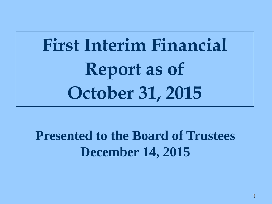# **First Interim Financial Report as of October 31, 2015**

**Presented to the Board of Trustees December 14, 2015**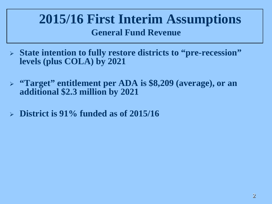### **2015/16 First Interim Assumptions General Fund Revenue**

- **State intention to fully restore districts to "pre-recession" levels (plus COLA) by 2021**
- **"Target" entitlement per ADA is \$8,209 (average), or an additional \$2.3 million by 2021**
- **District is 91% funded as of 2015/16**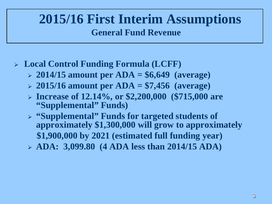### **2015/16 First Interim Assumptions General Fund Revenue**

- **Local Control Funding Formula (LCFF)**
	- **2014/15 amount per ADA = \$6,649 (average)**
	- **2015/16 amount per ADA = \$7,456 (average)**
	- **Increase of 12.14%, or \$2,200,000 (\$715,000 are "Supplemental" Funds)**
	- **"Supplemental" Funds for targeted students of approximately \$1,300,000 will grow to approximately \$1,900,000 by 2021 (estimated full funding year)**
	- **ADA: 3,099.80 (4 ADA less than 2014/15 ADA)**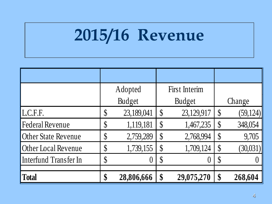# **2015/16 Revenue**

|                            | Adopted                    |            |                            | First Interim |                            |           |
|----------------------------|----------------------------|------------|----------------------------|---------------|----------------------------|-----------|
|                            | <b>Budget</b>              |            |                            | <b>Budget</b> | Change                     |           |
| L.C.F.F.                   | $\boldsymbol{\mathsf{\$}}$ | 23,189,041 | $\boldsymbol{\mathsf{S}}$  | 23,129,917    | $\boldsymbol{\mathsf{\$}}$ | (59, 124) |
| <b>Federal Revenue</b>     | \$                         | 1,119,181  | $\boldsymbol{\mathsf{\$}}$ | 1,467,235     | $\boldsymbol{\S}$          | 348,054   |
| <b>Other State Revenue</b> | $\boldsymbol{\mathsf{\$}}$ | 2,759,289  | $\boldsymbol{\mathsf{S}}$  | 2,768,994     | $\boldsymbol{\S}$          | 9,705     |
| Other Local Revenue        | \$                         | 1,739,155  | $\boldsymbol{\mathsf{S}}$  | 1,709,124     | \$                         | (30,031)  |
| Interfund Transfer In      | $\boldsymbol{\mathsf{\$}}$ | $\theta$   | $\boldsymbol{\mathsf{S}}$  | 0             | $\boldsymbol{\S}$          |           |
| <b>Total</b>               | \$                         | 28,806,666 | \$                         | 29,075,270    | \$                         | 268,604   |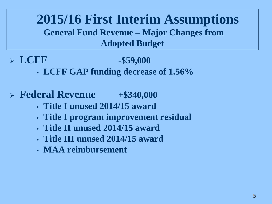**2015/16 First Interim Assumptions General Fund Revenue – Major Changes from Adopted Budget**

**LCFF -\$59,000**

- **LCFF GAP funding decrease of 1.56%**
- **Federal Revenue +\$340,000**
	- **Title I unused 2014/15 award**
	- **Title I program improvement residual**
	- **Title II unused 2014/15 award**
	- **Title III unused 2014/15 award**
	- **MAA reimbursement**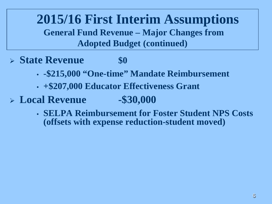**2015/16 First Interim Assumptions General Fund Revenue – Major Changes from Adopted Budget (continued)**

- **State Revenue** 50
	-
	- **-\$215,000 "One-time" Mandate Reimbursement**
	- **+\$207,000 Educator Effectiveness Grant**
- **Local Revenue -\$30,000**

• **SELPA Reimbursement for Foster Student NPS Costs (offsets with expense reduction-student moved)**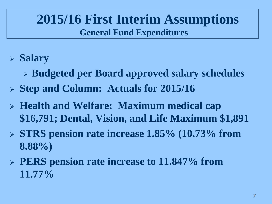## **2015/16 First Interim Assumptions General Fund Expenditures**

- **Salary**
	- **Budgeted per Board approved salary schedules**
- **Step and Column: Actuals for 2015/16**
- **Health and Welfare: Maximum medical cap \$16,791; Dental, Vision, and Life Maximum \$1,891**
- **STRS pension rate increase 1.85% (10.73% from 8.88%)**
- **PERS pension rate increase to 11.847% from 11.77%**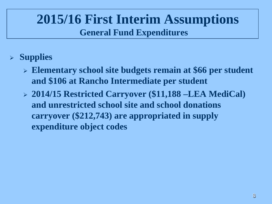## **2015/16 First Interim Assumptions General Fund Expenditures**

- **Supplies**
	- **Elementary school site budgets remain at \$66 per student and \$106 at Rancho Intermediate per student**
	- **2014/15 Restricted Carryover (\$11,188 –LEA MediCal) and unrestricted school site and school donations carryover (\$212,743) are appropriated in supply expenditure object codes**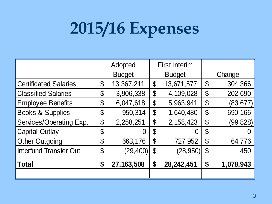# **2015/16 Expenses**

|                               | Adopted |               | <b>First Interim</b>       |            |                            |           |
|-------------------------------|---------|---------------|----------------------------|------------|----------------------------|-----------|
|                               |         | <b>Budget</b> | <b>Budget</b>              |            | Change                     |           |
| <b>Certificated Salaries</b>  | \$      | 13,367,211    | $\boldsymbol{\mathsf{\$}}$ | 13,671,577 | \$                         | 304,366   |
| <b>Classified Salaries</b>    | \$      | 3,906,338     | $\boldsymbol{\mathsf{\$}}$ | 4,109,028  | \$                         | 202,690   |
| <b>Employee Benefits</b>      | \$      | 6,047,618     | $\boldsymbol{\mathsf{\$}}$ | 5,963,941  | $\boldsymbol{\varphi}$     | (83, 677) |
| <b>Books &amp; Supplies</b>   | \$      | 950,314       | $\boldsymbol{\mathsf{\$}}$ | 1,640,480  | $\boldsymbol{\mathsf{\$}}$ | 690,166   |
| Services/Operating Exp.       | \$      | 2,258,251     | \$                         | 2,158,423  | $\boldsymbol{\mathsf{\$}}$ | (99, 828) |
| <b>Capital Outlay</b>         | \$      |               | \$                         | O          | \$                         |           |
| <b>Other Outgoing</b>         | \$      | 663,176       | $\boldsymbol{\mathcal{S}}$ | 727,952    | $\boldsymbol{\mathsf{\$}}$ | 64,776    |
| <b>Interfund Transfer Out</b> | \$      | (29, 400)     | $\boldsymbol{\mathcal{S}}$ | (28, 950)  | \$                         | 450       |
| <b>Total</b>                  | \$      | 27, 163, 508  | \$                         | 28,242,451 | \$                         | 1,078,943 |
|                               |         |               |                            |            |                            |           |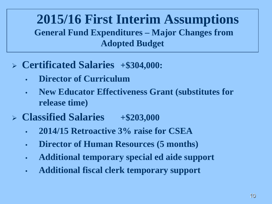### **2015/16 First Interim Assumptions General Fund Expenditures – Major Changes from Adopted Budget**

- **Certificated Salaries +\$304,000:** 
	- **Director of Curriculum**
	- **New Educator Effectiveness Grant (substitutes for release time)**
- **Classified Salaries +\$203,000** 
	- **2014/15 Retroactive 3% raise for CSEA**
	- **Director of Human Resources (5 months)**
	- **Additional temporary special ed aide support**
	- **Additional fiscal clerk temporary support**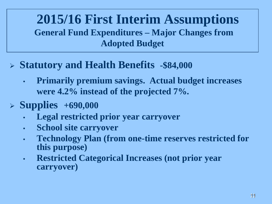### **2015/16 First Interim Assumptions General Fund Expenditures – Major Changes from Adopted Budget**

- **Statutory and Health Benefits -\$84,000**
	- **Primarily premium savings. Actual budget increases were 4.2% instead of the projected 7%.**
- **Supplies +690,000**
	- **Legal restricted prior year carryover**
	- **School site carryover**
	- **Technology Plan (from one-time reserves restricted for this purpose)**
	- **Restricted Categorical Increases (not prior year carryover)**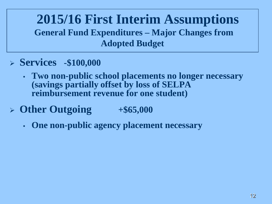### **2015/16 First Interim Assumptions General Fund Expenditures – Major Changes from Adopted Budget**

- **Services -\$100,000**
	- **Two non-public school placements no longer necessary (savings partially offset by loss of SELPA reimbursement revenue for one student)**
- **Other Outgoing +\$65,000**
	- **One non-public agency placement necessary**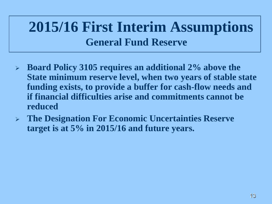## **2015/16 First Interim Assumptions General Fund Reserve**

- **Board Policy 3105 requires an additional 2% above the State minimum reserve level, when two years of stable state funding exists, to provide a buffer for cash-flow needs and if financial difficulties arise and commitments cannot be reduced**
- **The Designation For Economic Uncertainties Reserve target is at 5% in 2015/16 and future years.**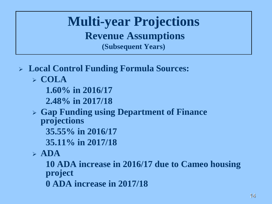**Multi-year Projections Revenue Assumptions (Subsequent Years)**

- **Local Control Funding Formula Sources:**
	- **COLA**
		- **1.60% in 2016/17**
		- **2.48% in 2017/18**
	- **Gap Funding using Department of Finance projections**
		- **35.55% in 2016/17**
		- **35.11% in 2017/18**
	- $\triangleright$  ADA

**10 ADA increase in 2016/17 due to Cameo housing project**

**0 ADA increase in 2017/18**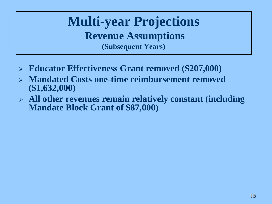**Multi-year Projections Revenue Assumptions (Subsequent Years)**

- **Educator Effectiveness Grant removed (\$207,000)**
- **Mandated Costs one-time reimbursement removed (\$1,632,000)**
- **All other revenues remain relatively constant (including Mandate Block Grant of \$87,000)**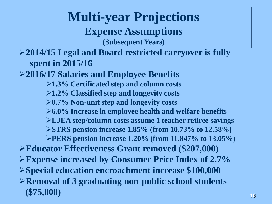#### **Multi-year Projections Expense Assumptions (Subsequent Years) 2014/15 Legal and Board restricted carryover is fully spent in 2015/16 2016/17 Salaries and Employee Benefits 1.3% Certificated step and column costs 1.2% Classified step and longevity costs 0.7% Non-unit step and longevity costs 6.0% Increase in employee health and welfare benefits LJEA step/column costs assume 1 teacher retiree savings STRS pension increase 1.85% (from 10.73% to 12.58%) PERS pension increase 1.20% (from 11.847% to 13.05%) Educator Effectiveness Grant removed (\$207,000) Expense increased by Consumer Price Index of 2.7% Special education encroachment increase \$100,000 Removal of 3 graduating non-public school students (\$75,000)**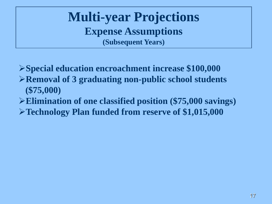**Multi-year Projections Expense Assumptions (Subsequent Years)**

**Special education encroachment increase \$100,000 Removal of 3 graduating non-public school students (\$75,000)**

**Elimination of one classified position (\$75,000 savings)**

**Technology Plan funded from reserve of \$1,015,000**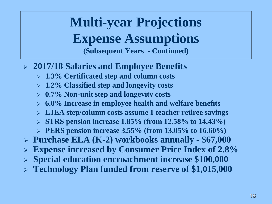## **Multi-year Projections Expense Assumptions (Subsequent Years - Continued)**

- **2017/18 Salaries and Employee Benefits** 
	- **1.3% Certificated step and column costs**
	- **1.2% Classified step and longevity costs**
	- **0.7% Non-unit step and longevity costs**
	- **6.0% Increase in employee health and welfare benefits**
	- **LJEA step/column costs assume 1 teacher retiree savings**
	- **STRS pension increase 1.85% (from 12.58% to 14.43%)**
	- **PERS pension increase 3.55% (from 13.05% to 16.60%)**
- **Purchase ELA (K-2) workbooks annually - \$67,000**
- **Expense increased by Consumer Price Index of 2.8%**
- **Special education encroachment increase \$100,000**
- **Technology Plan funded from reserve of \$1,015,000**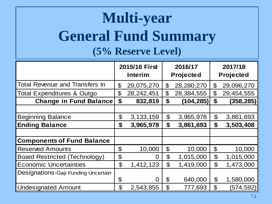## **Multi-year General Fund Summary (5% Reserve Level)**

|                                       | 2015/16 First<br><b>Interim</b> |              | 2016/17<br><b>Projected</b> |            | 2017/18<br><b>Projected</b> |            |
|---------------------------------------|---------------------------------|--------------|-----------------------------|------------|-----------------------------|------------|
| <b>Total Revenue and Transfers In</b> | $\mathfrak{P}$                  | 29,075,270   | $\boldsymbol{\theta}$       | 28,280,270 | $\mathfrak{P}$              | 29,096,270 |
| <b>Total Expenditures &amp; Outgo</b> | \$                              | 28, 242, 451 | $\boldsymbol{\theta}$       | 28,384,555 | $\mathfrak{P}$              | 29,454,555 |
| <b>Change in Fund Balance</b>         | \$                              | 832,819      | \$                          | (104, 285) | \$                          | (358, 285) |
|                                       |                                 |              |                             |            |                             |            |
| <b>Beginning Balance</b>              | \$                              | 3, 133, 159  | $\boldsymbol{\mathsf{S}}$   | 3,965,978  | $\boldsymbol{\theta}$       | 3,861,693  |
| <b>Ending Balance</b>                 | \$                              | 3,965,978    | \$                          | 3,861,693  | \$                          | 3,503,408  |
|                                       |                                 |              |                             |            |                             |            |
| <b>Components of Fund Balance</b>     |                                 |              |                             |            |                             |            |
| <b>Reserved Amounts</b>               | \$                              | 10,000       | $\boldsymbol{\mathcal{S}}$  | 10,000     | $\boldsymbol{\theta}$       | 10,000     |
| <b>Board Restricted (Technology)</b>  | \$                              | O            | $\mathfrak{P}$              | 1,015,000  | $\boldsymbol{\mathcal{S}}$  | 1,015,000  |
| <b>Economic Uncertainties</b>         | $\boldsymbol{\theta}$           | 1,412,123    | $\mathfrak{P}$              | 1,419,000  | $\boldsymbol{\theta}$       | 1,473,000  |
| Designations-Gap Funding Uncertain    |                                 |              |                             |            |                             |            |
|                                       | \$                              | O            | \$                          | 640,000    | $\boldsymbol{\theta}$       | 1,580,000  |
| <b>Undesignated Amount</b>            | $\boldsymbol{\theta}$           | 2,543,855    | \$                          | 777,693    | $\mathfrak{F}$              | (574,592)  |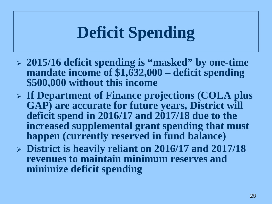# **Deficit Spending**

- **2015/16 deficit spending is "masked" by one-time mandate income of \$1,632,000 – deficit spending \$500,000 without this income**
- **If Department of Finance projections (COLA plus GAP) are accurate for future years, District will deficit spend in 2016/17 and 2017/18 due to the increased supplemental grant spending that must happen (currently reserved in fund balance)**
- **District is heavily reliant on 2016/17 and 2017/18 revenues to maintain minimum reserves and minimize deficit spending**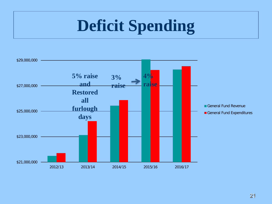# **Deficit Spending**

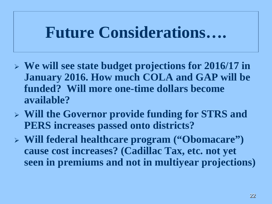## **Future Considerations….**

- **We will see state budget projections for 2016/17 in January 2016. How much COLA and GAP will be funded? Will more one-time dollars become available?**
- **Will the Governor provide funding for STRS and PERS increases passed onto districts?**
- **Will federal healthcare program ("Obomacare") cause cost increases? (Cadillac Tax, etc. not yet seen in premiums and not in multiyear projections)**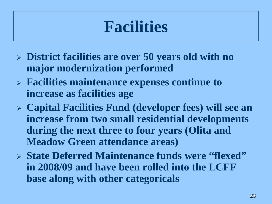## **Facilities**

- **District facilities are over 50 years old with no major modernization performed**
- **Facilities maintenance expenses continue to increase as facilities age**
- **Capital Facilities Fund (developer fees) will see an increase from two small residential developments during the next three to four years (Olita and Meadow Green attendance areas)**
- **State Deferred Maintenance funds were "flexed" in 2008/09 and have been rolled into the LCFF base along with other categoricals**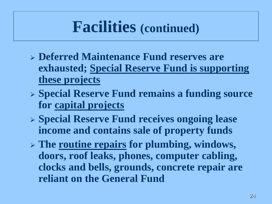## **Facilities (continued)**

- **Deferred Maintenance Fund reserves are exhausted; Special Reserve Fund is supporting these projects**
- **Special Reserve Fund remains a funding source for capital projects**
- **Special Reserve Fund receives ongoing lease income and contains sale of property funds**
- **The routine repairs for plumbing, windows, doors, roof leaks, phones, computer cabling, clocks and bells, grounds, concrete repair are reliant on the General Fund**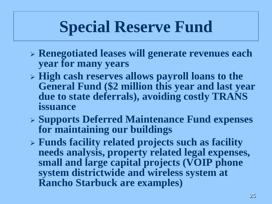# **Special Reserve Fund**

- **Renegotiated leases will generate revenues each year for many years**
- **High cash reserves allows payroll loans to the General Fund (\$2 million this year and last year due to state deferrals), avoiding costly TRANS issuance**
- **Supports Deferred Maintenance Fund expenses for maintaining our buildings**
- **Funds facility related projects such as facility needs analysis, property related legal expenses, small and large capital projects (VOIP phone system districtwide and wireless system at Rancho Starbuck are examples)**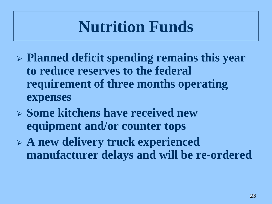# **Nutrition Funds**

- **Planned deficit spending remains this year to reduce reserves to the federal requirement of three months operating expenses**
- **Some kitchens have received new equipment and/or counter tops**
- **A new delivery truck experienced manufacturer delays and will be re-ordered**